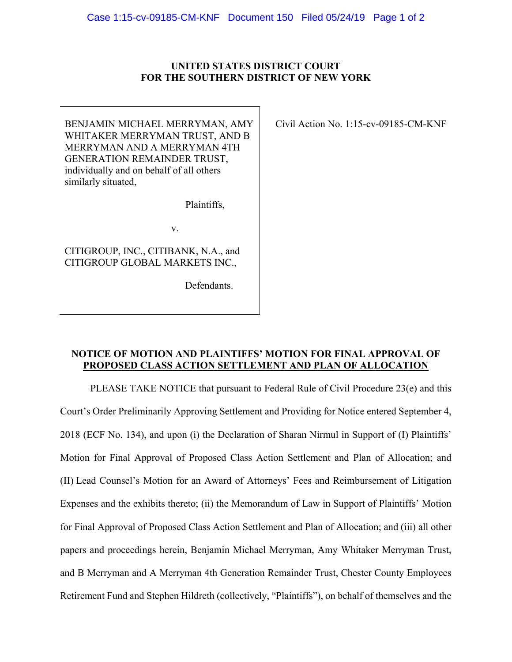## **UNITED STATES DISTRICT COURT FOR THE SOUTHERN DISTRICT OF NEW YORK**

BENJAMIN MICHAEL MERRYMAN, AMY WHITAKER MERRYMAN TRUST, AND B MERRYMAN AND A MERRYMAN 4TH GENERATION REMAINDER TRUST, individually and on behalf of all others similarly situated,

Plaintiffs,

v.

CITIGROUP, INC., CITIBANK, N.A., and CITIGROUP GLOBAL MARKETS INC.,

Defendants.

Civil Action No. 1:15-cv-09185-CM-KNF

## **NOTICE OF MOTION AND PLAINTIFFS' MOTION FOR FINAL APPROVAL OF PROPOSED CLASS ACTION SETTLEMENT AND PLAN OF ALLOCATION**

PLEASE TAKE NOTICE that pursuant to Federal Rule of Civil Procedure 23(e) and this Court's Order Preliminarily Approving Settlement and Providing for Notice entered September 4, 2018 (ECF No. 134), and upon (i) the Declaration of Sharan Nirmul in Support of (I) Plaintiffs' Motion for Final Approval of Proposed Class Action Settlement and Plan of Allocation; and (II) Lead Counsel's Motion for an Award of Attorneys' Fees and Reimbursement of Litigation Expenses and the exhibits thereto; (ii) the Memorandum of Law in Support of Plaintiffs' Motion for Final Approval of Proposed Class Action Settlement and Plan of Allocation; and (iii) all other papers and proceedings herein, Benjamin Michael Merryman, Amy Whitaker Merryman Trust, and B Merryman and A Merryman 4th Generation Remainder Trust, Chester County Employees Retirement Fund and Stephen Hildreth (collectively, "Plaintiffs"), on behalf of themselves and the